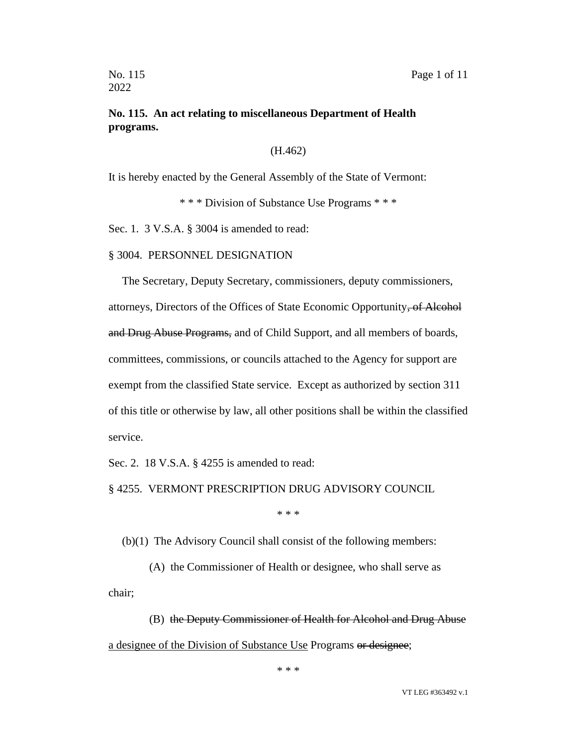### **No. 115. An act relating to miscellaneous Department of Health programs.**

#### (H.462)

It is hereby enacted by the General Assembly of the State of Vermont:

\* \* \* Division of Substance Use Programs \* \* \*

Sec. 1. 3 V.S.A. § 3004 is amended to read:

#### § 3004. PERSONNEL DESIGNATION

The Secretary, Deputy Secretary, commissioners, deputy commissioners, attorneys, Directors of the Offices of State Economic Opportunity, of Alcohol and Drug Abuse Programs, and of Child Support, and all members of boards, committees, commissions, or councils attached to the Agency for support are exempt from the classified State service. Except as authorized by section 311 of this title or otherwise by law, all other positions shall be within the classified service.

Sec. 2. 18 V.S.A. § 4255 is amended to read:

§ 4255. VERMONT PRESCRIPTION DRUG ADVISORY COUNCIL

\* \* \*

(b)(1) The Advisory Council shall consist of the following members:

(A) the Commissioner of Health or designee, who shall serve as chair;

(B) the Deputy Commissioner of Health for Alcohol and Drug Abuse a designee of the Division of Substance Use Programs or designee;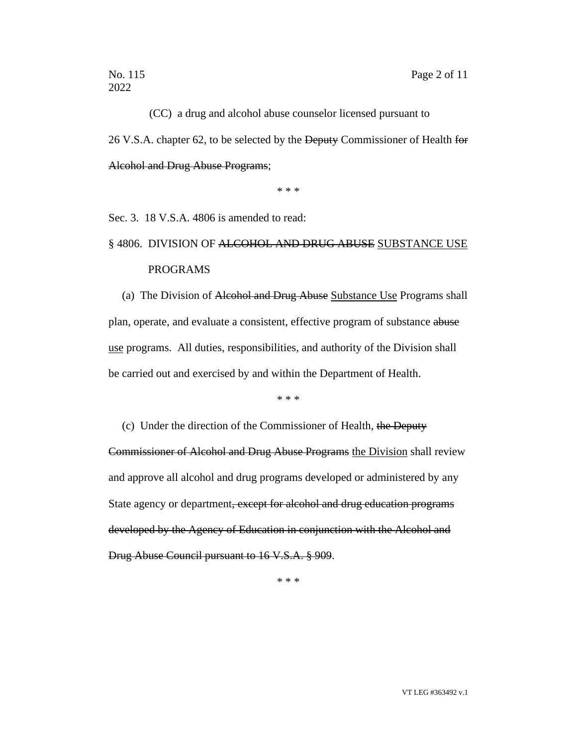(CC) a drug and alcohol abuse counselor licensed pursuant to 26 V.S.A. chapter 62, to be selected by the Deputy Commissioner of Health for Alcohol and Drug Abuse Programs;

\* \* \*

Sec. 3. 18 V.S.A. 4806 is amended to read:

# § 4806. DIVISION OF ALCOHOL AND DRUG ABUSE SUBSTANCE USE PROGRAMS

(a) The Division of Alcohol and Drug Abuse Substance Use Programs shall plan, operate, and evaluate a consistent, effective program of substance abuse use programs. All duties, responsibilities, and authority of the Division shall be carried out and exercised by and within the Department of Health.

\* \* \*

(c) Under the direction of the Commissioner of Health, the Deputy Commissioner of Alcohol and Drug Abuse Programs the Division shall review and approve all alcohol and drug programs developed or administered by any State agency or department, except for alcohol and drug education programs developed by the Agency of Education in conjunction with the Alcohol and Drug Abuse Council pursuant to 16 V.S.A. § 909.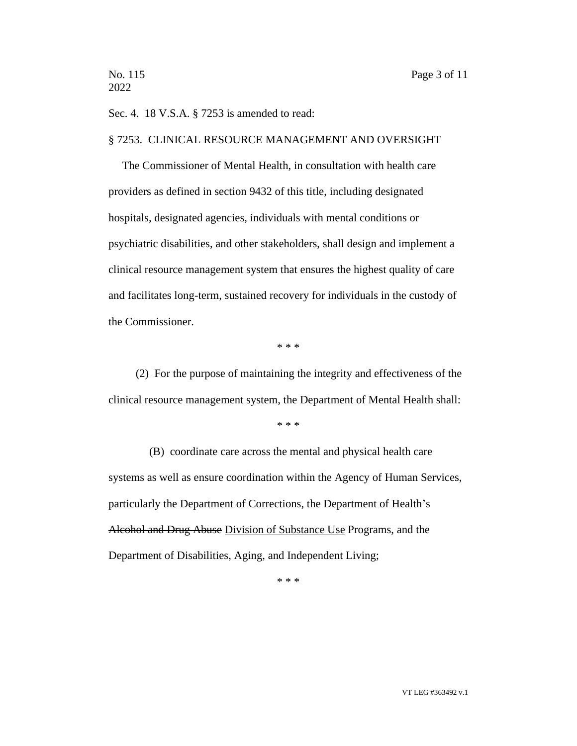Sec. 4. 18 V.S.A. § 7253 is amended to read:

#### § 7253. CLINICAL RESOURCE MANAGEMENT AND OVERSIGHT

The Commissioner of Mental Health, in consultation with health care providers as defined in section 9432 of this title, including designated hospitals, designated agencies, individuals with mental conditions or psychiatric disabilities, and other stakeholders, shall design and implement a clinical resource management system that ensures the highest quality of care and facilitates long-term, sustained recovery for individuals in the custody of the Commissioner.

\* \* \*

(2) For the purpose of maintaining the integrity and effectiveness of the clinical resource management system, the Department of Mental Health shall:

\* \* \*

(B) coordinate care across the mental and physical health care systems as well as ensure coordination within the Agency of Human Services, particularly the Department of Corrections, the Department of Health's Alcohol and Drug Abuse Division of Substance Use Programs, and the Department of Disabilities, Aging, and Independent Living;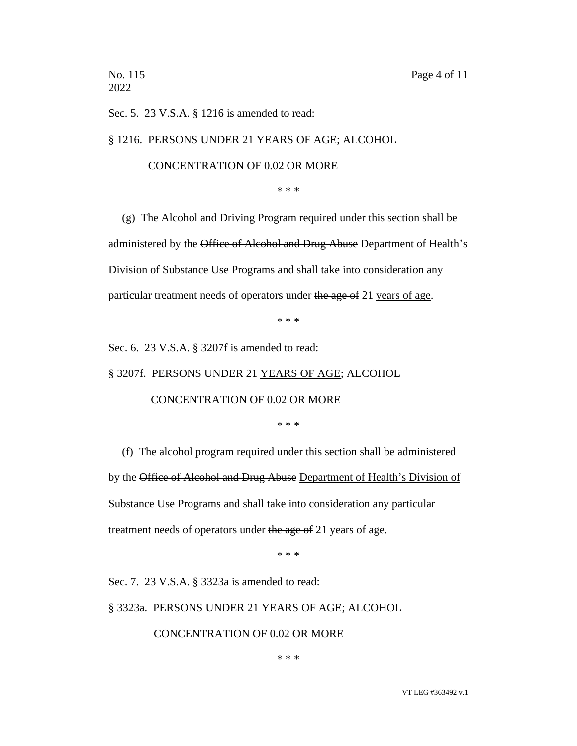2022

Sec. 5. 23 V.S.A. § 1216 is amended to read:

§ 1216. PERSONS UNDER 21 YEARS OF AGE; ALCOHOL

#### CONCENTRATION OF 0.02 OR MORE

\* \* \*

(g) The Alcohol and Driving Program required under this section shall be administered by the Office of Alcohol and Drug Abuse Department of Health's Division of Substance Use Programs and shall take into consideration any particular treatment needs of operators under the age of 21 years of age.

\* \* \*

Sec. 6. 23 V.S.A. § 3207f is amended to read:

§ 3207f. PERSONS UNDER 21 YEARS OF AGE; ALCOHOL

CONCENTRATION OF 0.02 OR MORE

\* \* \*

(f) The alcohol program required under this section shall be administered by the Office of Alcohol and Drug Abuse Department of Health's Division of Substance Use Programs and shall take into consideration any particular treatment needs of operators under the age of 21 years of age.

\* \* \*

Sec. 7. 23 V.S.A. § 3323a is amended to read:

§ 3323a. PERSONS UNDER 21 YEARS OF AGE; ALCOHOL

CONCENTRATION OF 0.02 OR MORE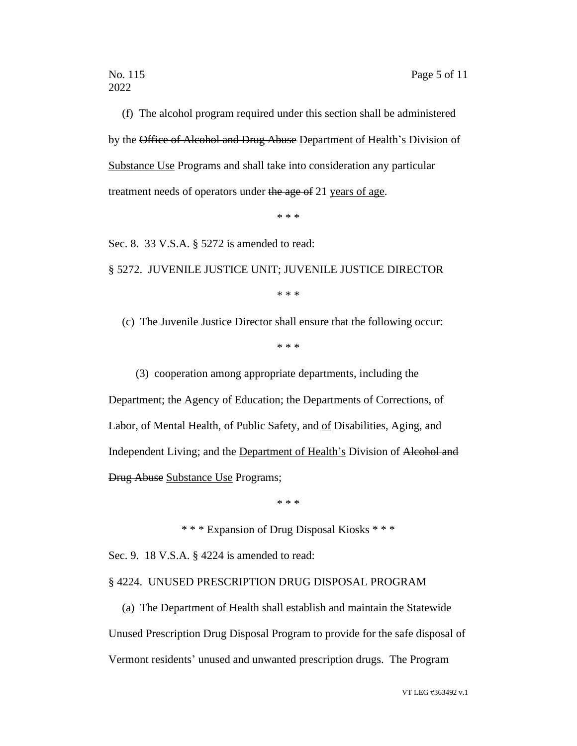(f) The alcohol program required under this section shall be administered by the Office of Alcohol and Drug Abuse Department of Health's Division of Substance Use Programs and shall take into consideration any particular treatment needs of operators under the age of 21 years of age.

\* \* \*

Sec. 8. 33 V.S.A. § 5272 is amended to read:

§ 5272. JUVENILE JUSTICE UNIT; JUVENILE JUSTICE DIRECTOR

\* \* \*

(c) The Juvenile Justice Director shall ensure that the following occur:

\* \* \*

(3) cooperation among appropriate departments, including the Department; the Agency of Education; the Departments of Corrections, of Labor, of Mental Health, of Public Safety, and of Disabilities, Aging, and Independent Living; and the Department of Health's Division of Alcohol and Drug Abuse Substance Use Programs;

\* \* \*

\* \* \* Expansion of Drug Disposal Kiosks \* \* \*

Sec. 9. 18 V.S.A. § 4224 is amended to read:

#### § 4224. UNUSED PRESCRIPTION DRUG DISPOSAL PROGRAM

(a) The Department of Health shall establish and maintain the Statewide Unused Prescription Drug Disposal Program to provide for the safe disposal of Vermont residents' unused and unwanted prescription drugs. The Program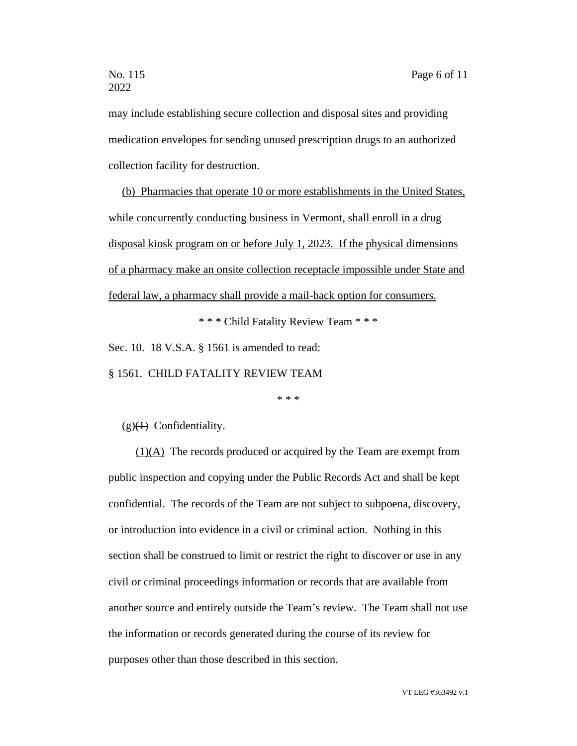may include establishing secure collection and disposal sites and providing medication envelopes for sending unused prescription drugs to an authorized collection facility for destruction.

(b) Pharmacies that operate 10 or more establishments in the United States, while concurrently conducting business in Vermont, shall enroll in a drug disposal kiosk program on or before July 1, 2023. If the physical dimensions of a pharmacy make an onsite collection receptacle impossible under State and federal law, a pharmacy shall provide a mail-back option for consumers.

\* \* \* Child Fatality Review Team \* \* \*

Sec. 10. 18 V.S.A. § 1561 is amended to read:

§ 1561. CHILD FATALITY REVIEW TEAM

\* \* \*

 $(g)(\theta)$  Confidentiality.

(1)(A) The records produced or acquired by the Team are exempt from public inspection and copying under the Public Records Act and shall be kept confidential. The records of the Team are not subject to subpoena, discovery, or introduction into evidence in a civil or criminal action. Nothing in this section shall be construed to limit or restrict the right to discover or use in any civil or criminal proceedings information or records that are available from another source and entirely outside the Team's review. The Team shall not use the information or records generated during the course of its review for purposes other than those described in this section.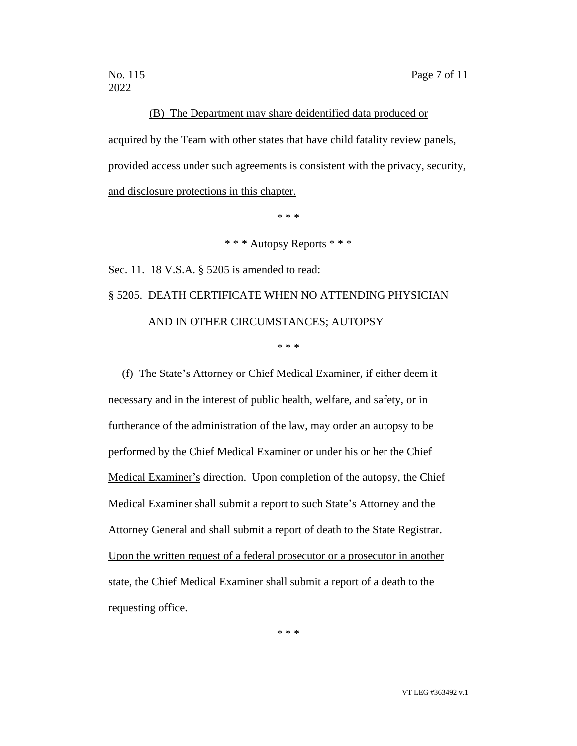## (B) The Department may share deidentified data produced or

acquired by the Team with other states that have child fatality review panels, provided access under such agreements is consistent with the privacy, security, and disclosure protections in this chapter.

\* \* \*

\* \* \* Autopsy Reports \* \* \*

Sec. 11. 18 V.S.A. § 5205 is amended to read:

# § 5205. DEATH CERTIFICATE WHEN NO ATTENDING PHYSICIAN AND IN OTHER CIRCUMSTANCES; AUTOPSY

\* \* \*

(f) The State's Attorney or Chief Medical Examiner, if either deem it necessary and in the interest of public health, welfare, and safety, or in furtherance of the administration of the law, may order an autopsy to be performed by the Chief Medical Examiner or under his or her the Chief Medical Examiner's direction. Upon completion of the autopsy, the Chief Medical Examiner shall submit a report to such State's Attorney and the Attorney General and shall submit a report of death to the State Registrar. Upon the written request of a federal prosecutor or a prosecutor in another state, the Chief Medical Examiner shall submit a report of a death to the requesting office.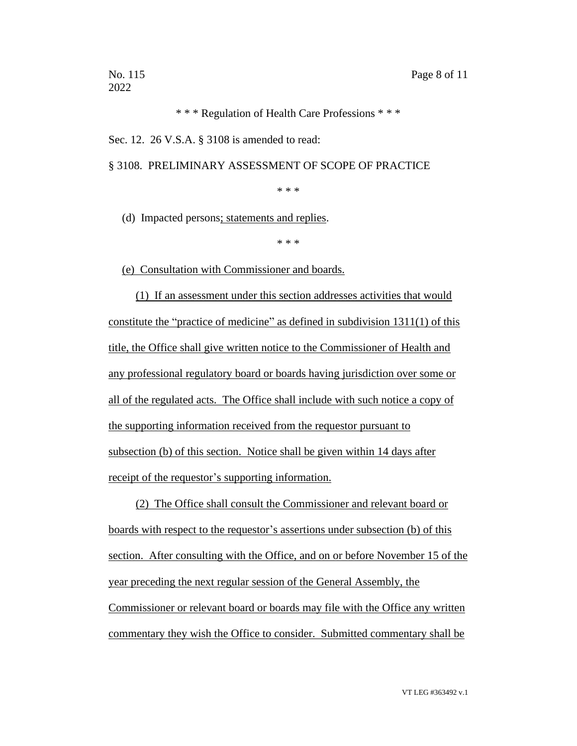\* \* \* Regulation of Health Care Professions \* \* \*

Sec. 12. 26 V.S.A. § 3108 is amended to read:

§ 3108. PRELIMINARY ASSESSMENT OF SCOPE OF PRACTICE

\* \* \*

(d) Impacted persons; statements and replies.

\* \* \*

(e) Consultation with Commissioner and boards.

(1) If an assessment under this section addresses activities that would constitute the "practice of medicine" as defined in subdivision 1311(1) of this title, the Office shall give written notice to the Commissioner of Health and any professional regulatory board or boards having jurisdiction over some or all of the regulated acts. The Office shall include with such notice a copy of the supporting information received from the requestor pursuant to subsection (b) of this section. Notice shall be given within 14 days after receipt of the requestor's supporting information.

(2) The Office shall consult the Commissioner and relevant board or boards with respect to the requestor's assertions under subsection (b) of this section. After consulting with the Office, and on or before November 15 of the year preceding the next regular session of the General Assembly, the Commissioner or relevant board or boards may file with the Office any written commentary they wish the Office to consider. Submitted commentary shall be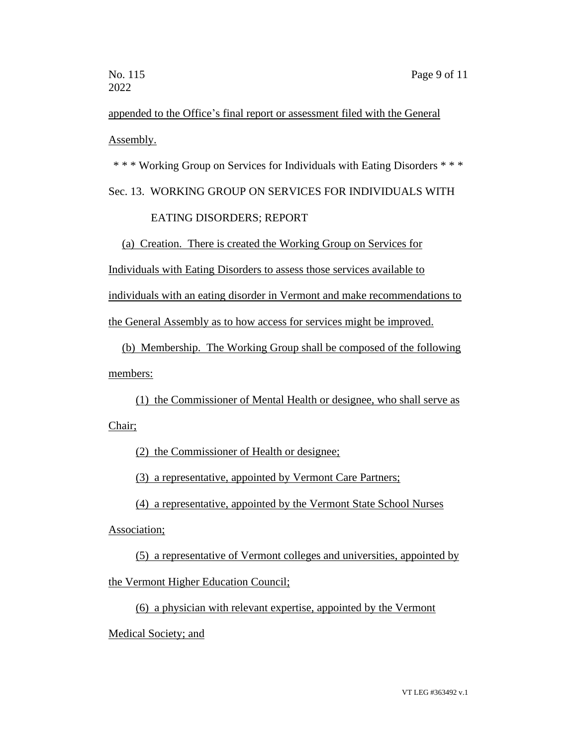appended to the Office's final report or assessment filed with the General Assembly.

\* \* \* Working Group on Services for Individuals with Eating Disorders \* \* \*

## Sec. 13. WORKING GROUP ON SERVICES FOR INDIVIDUALS WITH

### EATING DISORDERS; REPORT

(a) Creation. There is created the Working Group on Services for

Individuals with Eating Disorders to assess those services available to

individuals with an eating disorder in Vermont and make recommendations to

the General Assembly as to how access for services might be improved.

(b) Membership. The Working Group shall be composed of the following members:

(1) the Commissioner of Mental Health or designee, who shall serve as Chair;

(2) the Commissioner of Health or designee;

(3) a representative, appointed by Vermont Care Partners;

(4) a representative, appointed by the Vermont State School Nurses

Association;

(5) a representative of Vermont colleges and universities, appointed by

the Vermont Higher Education Council;

(6) a physician with relevant expertise, appointed by the Vermont

Medical Society; and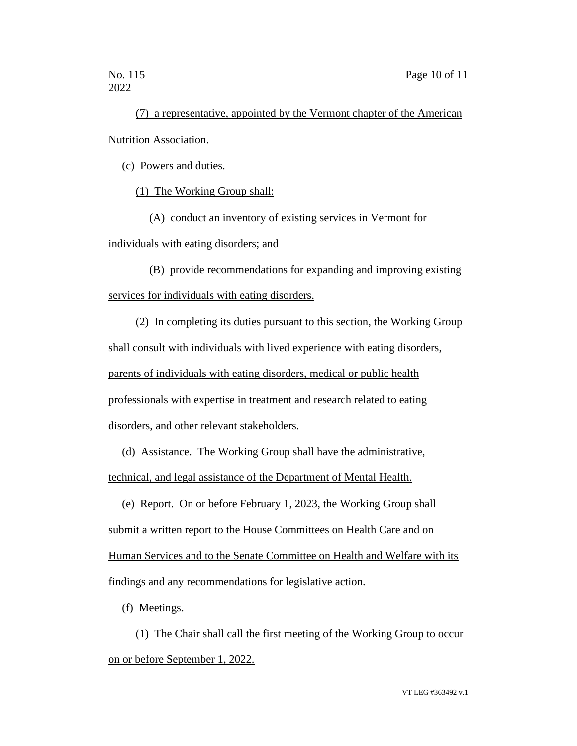(7) a representative, appointed by the Vermont chapter of the American Nutrition Association.

(c) Powers and duties.

(1) The Working Group shall:

(A) conduct an inventory of existing services in Vermont for individuals with eating disorders; and

(B) provide recommendations for expanding and improving existing services for individuals with eating disorders.

(2) In completing its duties pursuant to this section, the Working Group shall consult with individuals with lived experience with eating disorders, parents of individuals with eating disorders, medical or public health professionals with expertise in treatment and research related to eating disorders, and other relevant stakeholders.

(d) Assistance. The Working Group shall have the administrative, technical, and legal assistance of the Department of Mental Health.

(e) Report. On or before February 1, 2023, the Working Group shall submit a written report to the House Committees on Health Care and on Human Services and to the Senate Committee on Health and Welfare with its findings and any recommendations for legislative action.

(f) Meetings.

(1) The Chair shall call the first meeting of the Working Group to occur on or before September 1, 2022.